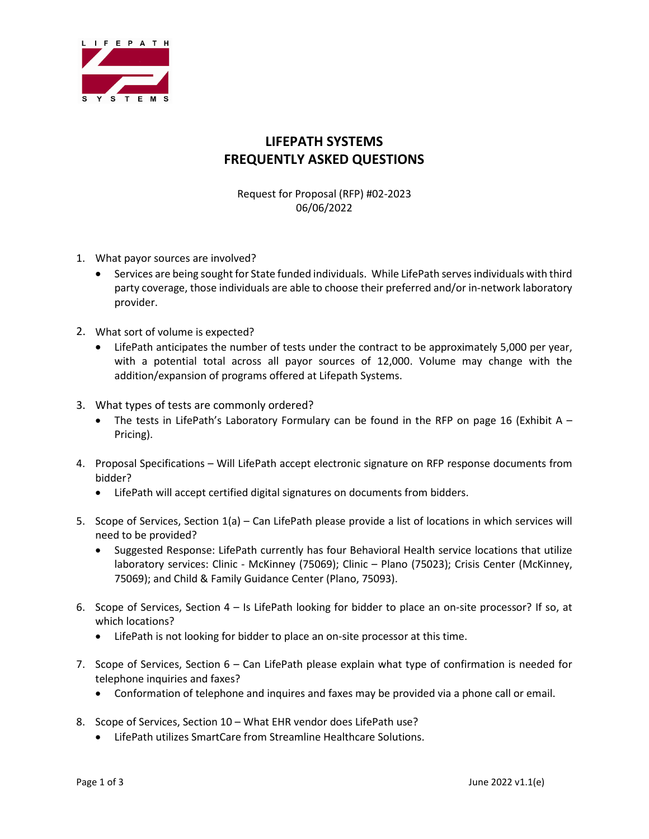

## **LIFEPATH SYSTEMS FREQUENTLY ASKED QUESTIONS**

Request for Proposal (RFP) #02-2023 06/06/2022

- 1. What payor sources are involved?
	- Services are being sought for State funded individuals. While LifePath serves individuals with third party coverage, those individuals are able to choose their preferred and/or in-network laboratory provider.
- 2. What sort of volume is expected?
	- LifePath anticipates the number of tests under the contract to be approximately 5,000 per year, with a potential total across all payor sources of 12,000. Volume may change with the addition/expansion of programs offered at Lifepath Systems.
- 3. What types of tests are commonly ordered?
	- The tests in LifePath's Laboratory Formulary can be found in the RFP on page 16 (Exhibit  $A -$ Pricing).
- 4. Proposal Specifications Will LifePath accept electronic signature on RFP response documents from bidder?
	- LifePath will accept certified digital signatures on documents from bidders.
- 5. Scope of Services, Section 1(a) Can LifePath please provide a list of locations in which services will need to be provided?
	- Suggested Response: LifePath currently has four Behavioral Health service locations that utilize laboratory services: Clinic - McKinney (75069); Clinic – Plano (75023); Crisis Center (McKinney, 75069); and Child & Family Guidance Center (Plano, 75093).
- 6. Scope of Services, Section 4 Is LifePath looking for bidder to place an on-site processor? If so, at which locations?
	- LifePath is not looking for bidder to place an on-site processor at this time.
- 7. Scope of Services, Section 6 Can LifePath please explain what type of confirmation is needed for telephone inquiries and faxes?
	- Conformation of telephone and inquires and faxes may be provided via a phone call or email.
- 8. Scope of Services, Section 10 What EHR vendor does LifePath use?
	- LifePath utilizes SmartCare from Streamline Healthcare Solutions.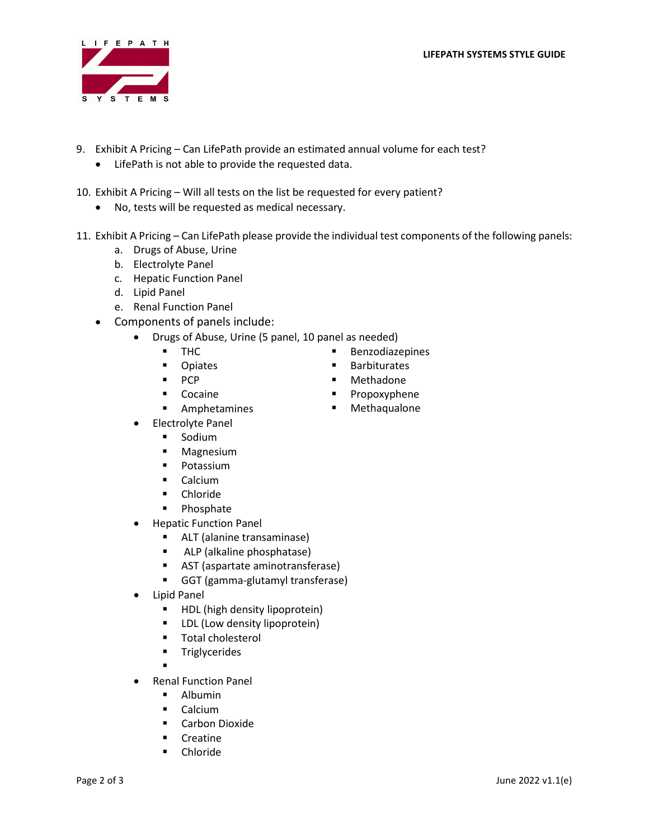

- 9. Exhibit A Pricing Can LifePath provide an estimated annual volume for each test?
	- LifePath is not able to provide the requested data.
- 10. Exhibit A Pricing Will all tests on the list be requested for every patient?
	- No, tests will be requested as medical necessary.
- 11. Exhibit A Pricing Can LifePath please provide the individual test components of the following panels:
	- a. Drugs of Abuse, Urine
	- b. Electrolyte Panel
	- c. Hepatic Function Panel
	- d. Lipid Panel
	- e. Renal Function Panel
	- Components of panels include:
		- Drugs of Abuse, Urine (5 panel, 10 panel as needed)
			- **THC**
			- **D** Opiates
			- **PCP**
			- Cocaine
			- **EXAMP** Amphetamines
		- Electrolyte Panel
			- **Sodium**
			- **Magnesium**
			- **Potassium**
			- **Calcium**
			- **-** Chloride
			- **Phosphate**
		- Hepatic Function Panel
			- ALT (alanine transaminase)
			- **ALP** (alkaline phosphatase)
			- AST (aspartate aminotransferase)
			- GGT (gamma-glutamyl transferase)
		- Lipid Panel
			- **HDL** (high density lipoprotein)
			- **EXECUTE:** LDL (Low density lipoprotein)
			- **Total cholesterol**
			- **Triglycerides**

.

- Renal Function Panel
	- **Albumin**
	- Calcium
	- **E** Carbon Dioxide
	- **Creatine**
	- **•** Chloride
- **Benzodiazepines**
- **Barbiturates**
- **■** Methadone
- **Propoxyphene**
- Methaqualone